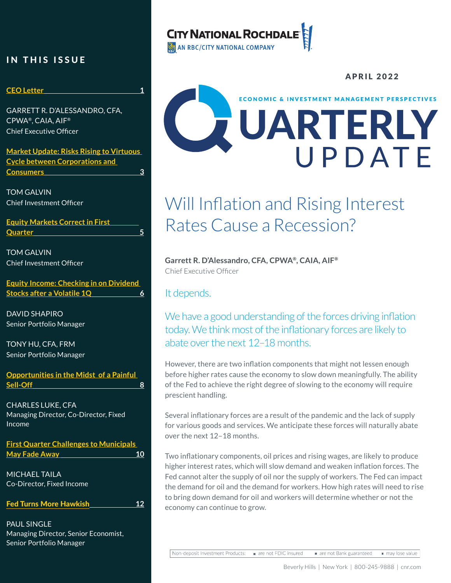### IN THIS ISSUE

#### **CEO Letter 1**

GARRETT R. D'ALESSANDRO, CFA, CPWA®, CAIA, AIF® Chief Executive Officer

**Market Update: Risks Rising to Virtuous Cycle between Corporations and Consumers 3**

TOM GALVIN Chief Investment Officer

**Equity Markets Correct in First Quarter 5**

TOM GALVIN Chief Investment Officer

**Equity Income: Checking in on Dividend Stocks after a Volatile 1Q 6**

DAVID SHAPIRO Senior Portfolio Manager

TONY HU, CFA, FRM Senior Portfolio Manager

**Opportunities in the Midst of a Painful Sell-Off 8**

CHARLES LUKE, CFA Managing Director, Co-Director, Fixed Income

**First Quarter Challenges to Municipals May Fade Away 10** 

MICHAEL TAILA Co-Director, Fixed Income

Fed Turns More Hawkish **12**

PAUL SINGLE Managing Director, Senior Economist, Senior Portfolio Manager

# **CITY NATIONAL ROCHDA**

AN RBC/CITY NATIONAL COMPANY

# APRIL 2022**ECONOMIC & INVESTMENT MANAGEMENT PERSPECTIVES** UARTERLY

# Will Inflation and Rising Interest Rates Cause a Recession?

**Garrett R. D'Alessandro, CFA, CPWA®, CAIA, AIF®** Chief Executive Officer

It depends.

We have a good understanding of the forces driving inflation today. We think most of the inflationary forces are likely to abate over the next 12–18 months.

However, there are two inflation components that might not lessen enough before higher rates cause the economy to slow down meaningfully. The ability of the Fed to achieve the right degree of slowing to the economy will require prescient handling.

Several inflationary forces are a result of the pandemic and the lack of supply for various goods and services. We anticipate these forces will naturally abate over the next 12–18 months.

Two inflationary components, oil prices and rising wages, are likely to produce higher interest rates, which will slow demand and weaken inflation forces. The Fed cannot alter the supply of oil nor the supply of workers. The Fed can impact the demand for oil and the demand for workers. How high rates will need to rise to bring down demand for oil and workers will determine whether or not the economy can continue to grow.

Non-deposit Investment Products: are not FDIC insured are not Bank guaranteed

may lose value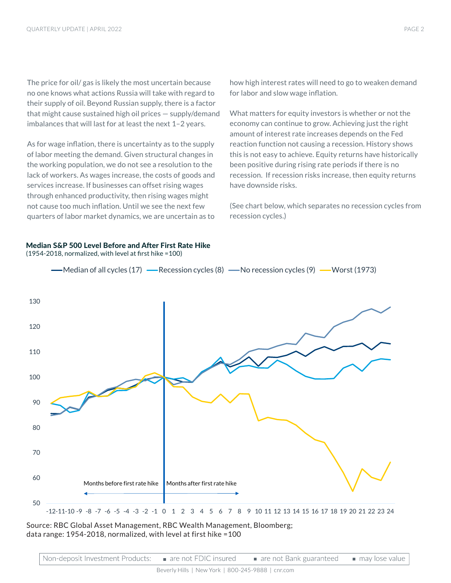The price for oil/ gas is likely the most uncertain because no one knows what actions Russia will take with regard to their supply of oil. Beyond Russian supply, there is a factor that might cause sustained high oil prices — supply/demand imbalances that will last for at least the next 1–2 years.

As for wage inflation, there is uncertainty as to the supply of labor meeting the demand. Given structural changes in the working population, we do not see a resolution to the lack of workers. As wages increase, the costs of goods and services increase. If businesses can offset rising wages through enhanced productivity, then rising wages might not cause too much inflation. Until we see the next few quarters of labor market dynamics, we are uncertain as to

Median S&P 500 Level Before and After First Rate Hike

(1954-2018, normalized, with level at first hike =100)

how high interest rates will need to go to weaken demand for labor and slow wage inflation.

What matters for equity investors is whether or not the economy can continue to grow. Achieving just the right amount of interest rate increases depends on the Fed reaction function not causing a recession. History shows this is not easy to achieve. Equity returns have historically been positive during rising rate periods if there is no recession. If recession risks increase, then equity returns have downside risks.

(See chart below, which separates no recession cycles from recession cycles.)



Source: RBC Global Asset Management, RBC Wealth Management, Bloomberg; data range: 1954-2018, normalized, with level at first hike =100

| Non-deposit Investment Products: ■ are not FDIC insured |  | $\blacksquare$ are not Bank guaranteed | ■ may lose value |
|---------------------------------------------------------|--|----------------------------------------|------------------|
|---------------------------------------------------------|--|----------------------------------------|------------------|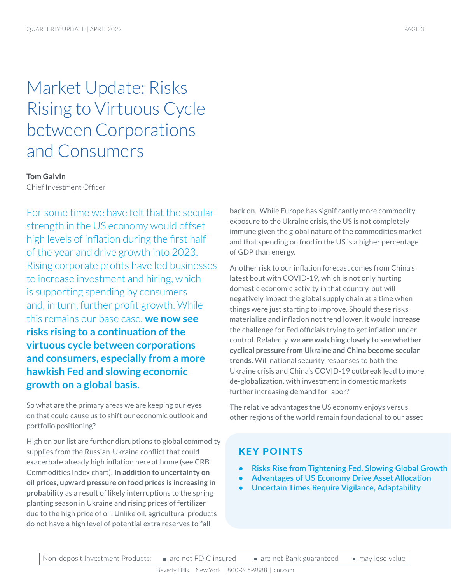# Market Update: Risks Rising to Virtuous Cycle between Corporations and Consumers

#### **Tom Galvin**

Chief Investment Officer

For some time we have felt that the secular strength in the US economy would offset high levels of inflation during the first half of the year and drive growth into 2023. Rising corporate profits have led businesses to increase investment and hiring, which is supporting spending by consumers and, in turn, further profit growth. While this remains our base case, **we now see risks rising to a continuation of the virtuous cycle between corporations and consumers, especially from a more hawkish Fed and slowing economic growth on a global basis.** 

So what are the primary areas we are keeping our eyes on that could cause us to shift our economic outlook and portfolio positioning?

High on our list are further disruptions to global commodity supplies from the Russian-Ukraine conflict that could exacerbate already high inflation here at home (see CRB Commodities Index chart). **In addition to uncertainty on oil prices, upward pressure on food prices is increasing in probability** as a result of likely interruptions to the spring planting season in Ukraine and rising prices of fertilizer due to the high price of oil. Unlike oil, agricultural products do not have a high level of potential extra reserves to fall

back on. While Europe has significantly more commodity exposure to the Ukraine crisis, the US is not completely immune given the global nature of the commodities market and that spending on food in the US is a higher percentage of GDP than energy.

Another risk to our inflation forecast comes from China's latest bout with COVID-19, which is not only hurting domestic economic activity in that country, but will negatively impact the global supply chain at a time when things were just starting to improve. Should these risks materialize and inflation not trend lower, it would increase the challenge for Fed officials trying to get inflation under control. Relatedly, **we are watching closely to see whether cyclical pressure from Ukraine and China become secular trends.** Will national security responses to both the Ukraine crisis and China's COVID-19 outbreak lead to more de-globalization, with investment in domestic markets further increasing demand for labor?

The relative advantages the US economy enjoys versus other regions of the world remain foundational to our asset

### KEY POINTS

- **• Risks Rise from Tightening Fed, Slowing Global Growth**
- **• Advantages of US Economy Drive Asset Allocation**
- **• Uncertain Times Require Vigilance, Adaptability**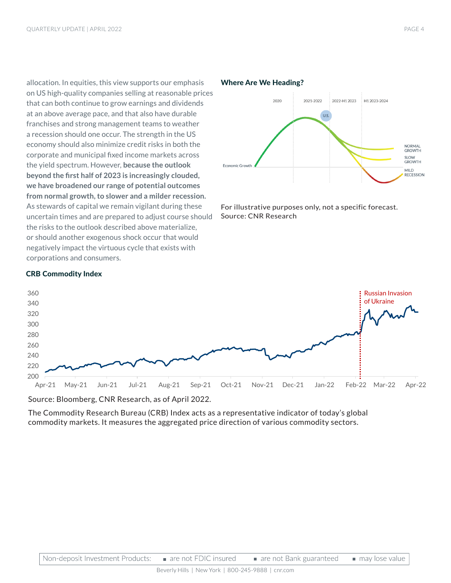allocation. In equities, this view supports our emphasis on US high-quality companies selling at reasonable prices that can both continue to grow earnings and dividends at an above average pace, and that also have durable franchises and strong management teams to weather a recession should one occur. The strength in the US economy should also minimize credit risks in both the corporate and municipal fixed income markets across the yield spectrum. However, **because the outlook beyond the first half of 2023 is increasingly clouded, we have broadened our range of potential outcomes from normal growth, to slower and a milder recession.**  As stewards of capital we remain vigilant during these uncertain times and are prepared to adjust course should the risks to the outlook described above materialize, or should another exogenous shock occur that would negatively impact the virtuous cycle that exists with corporations and consumers.

#### Where Are We Heading? 2021-2022  $2020$ 2022-H1 2023 H1 2023-2024  $U.S.$ NORMAL<br>GROWTH SLOW<br>GROWTH Economic Growth MILD<br>RECESSION

For illustrative purposes only, not a specific forecast. Source: CNR Research

#### 200 220 240 260 280 300 320 340 360 Apr-21 May-21 Jun-21 Jul-21 Aug-21 Sep-21 Oct-21 Nov-21 Dec-21 Jan-22 Feb-22 Mar-22 Apr-22 Russian Invasion of Ukraine

#### CRB Commodity Index

Source: Bloomberg, CNR Research, as of April 2022.

The Commodity Research Bureau (CRB) Index acts as a representative indicator of today's global commodity markets. It measures the aggregated price direction of various commodity sectors.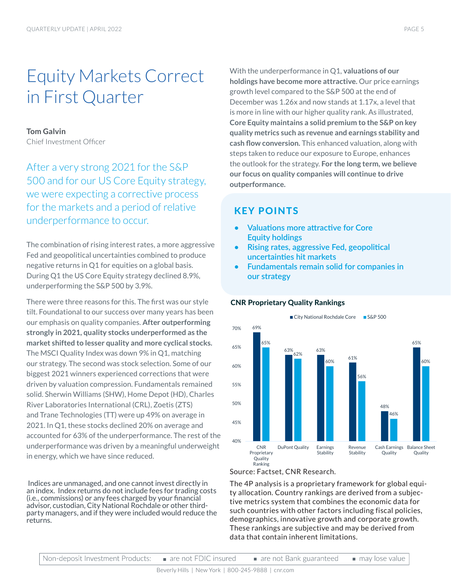# Equity Markets Correct in First Quarter

#### **Tom Galvin**

Chief Investment Officer

After a very strong 2021 for the S&P 500 and for our US Core Equity strategy, we were expecting a corrective process for the markets and a period of relative underperformance to occur.

The combination of rising interest rates, a more aggressive Fed and geopolitical uncertainties combined to produce negative returns in Q1 for equities on a global basis. During Q1 the US Core Equity strategy declined 8.9%, underperforming the S&P 500 by 3.9%.

There were three reasons for this. The first was our style tilt. Foundational to our success over many years has been our emphasis on quality companies. **After outperforming strongly in 2021, quality stocks underperformed as the market shifted to lesser quality and more cyclical stocks.** The MSCI Quality Index was down 9% in Q1, matching our strategy. The second was stock selection. Some of our biggest 2021 winners experienced corrections that were driven by valuation compression. Fundamentals remained solid. Sherwin Williams (SHW), Home Depot (HD), Charles River Laboratories International (CRL), Zoetis (ZTS) and Trane Technologies (TT) were up 49% on average in 2021. In Q1, these stocks declined 20% on average and accounted for 63% of the underperformance. The rest of the underperformance was driven by a meaningful underweight in energy, which we have since reduced.

 Indices are unmanaged, and one cannot invest directly in an index. Index returns do not include fees for trading costs (i.e., commissions) or any fees charged by your financial advisor, custodian, City National Rochdale or other thirdparty managers, and if they were included would reduce the returns.

With the underperformance in Q1, **valuations of our holdings have become more attractive.** Our price earnings growth level compared to the S&P 500 at the end of December was 1.26x and now stands at 1.17x, a level that is more in line with our higher quality rank. As illustrated, **Core Equity maintains a solid premium to the S&P on key quality metrics such as revenue and earnings stability and cash flow conversion.** This enhanced valuation, along with steps taken to reduce our exposure to Europe, enhances the outlook for the strategy. **For the long term, we believe our focus on quality companies will continue to drive outperformance.** 

### KEY POINTS

- **• Valuations more attractive for Core Equity holdings**
- **• Rising rates, aggressive Fed, geopolitical uncertainties hit markets**
- **• Fundamentals remain solid for companies in our strategy**

#### CNR Proprietary Quality Rankings



#### Source: Factset, CNR Research.

The 4P analysis is a proprietary framework for global equity allocation. Country rankings are derived from a subjective metrics system that combines the economic data for such countries with other factors including fiscal policies, demographics, innovative growth and corporate growth. These rankings are subjective and may be derived from data that contain inherent limitations.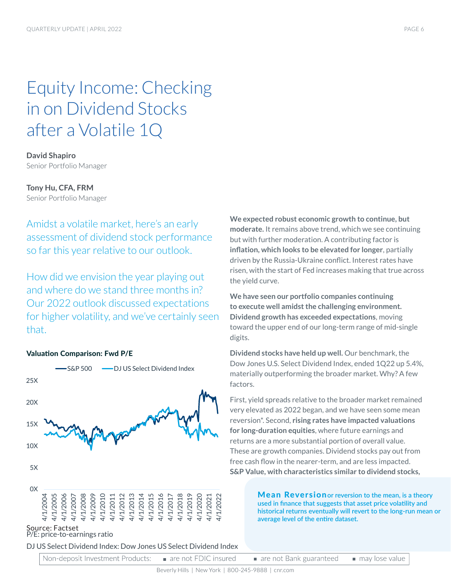# Equity Income: Checking in on Dividend Stocks after a Volatile 1Q

**David Shapiro** Senior Portfolio Manager

**Tony Hu, CFA, FRM** Senior Portfolio Manager

Amidst a volatile market, here's an early

assessment of dividend stock performance so far this year relative to our outlook.

How did we envision the year playing out and where do we stand three months in? Our 2022 outlook discussed expectations for higher volatility, and we've certainly seen that.



#### Source: Factset P/E: price-to-earnings ratio

DJ US Select Dividend Index: Dow Jones US Select Dividend Index

**We expected robust economic growth to continue, but moderate.** It remains above trend, which we see continuing but with further moderation. A contributing factor is **inflation, which looks to be elevated for longer**, partially driven by the Russia-Ukraine conflict. Interest rates have risen, with the start of Fed increases making that true across the yield curve.

**We have seen our portfolio companies continuing to execute well amidst the challenging environment. Dividend growth has exceeded expectations**, moving toward the upper end of our long-term range of mid-single digits.

**Dividend stocks have held up well.** Our benchmark, the Dow Jones U.S. Select Dividend Index, ended 1Q22 up 5.4%, materially outperforming the broader market. Why? A few factors.

First, yield spreads relative to the broader market remained very elevated as 2022 began, and we have seen some mean reversion\*. Second, **rising rates have impacted valuations for long-duration equities**, where future earnings and returns are a more substantial portion of overall value. These are growth companies. Dividend stocks pay out from free cash flow in the nearer-term, and are less impacted. **S&P Value, with characteristics similar to dividend stocks,** 

> Mean Reversion**or reversion to the mean, is a theory used in finance that suggests that asset price volatility and historical returns eventually will revert to the long-run mean or average level of the entire dataset.**

Non-deposit Investment Products: are not FDIC insured are not Bank guaranteed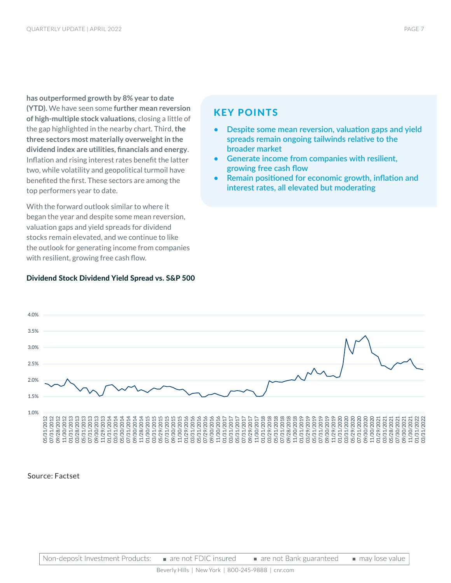**has outperformed growth by 8% year to date (YTD).** We have seen some **further mean reversion of high-multiple stock valuations**, closing a little of the gap highlighted in the nearby chart. Third, **the three sectors most materially overweight in the dividend index are utilities, financials and energy**. Inflation and rising interest rates benefit the latter two, while volatility and geopolitical turmoil have benefited the first. These sectors are among the top performers year to date.

With the forward outlook similar to where it began the year and despite some mean reversion, valuation gaps and yield spreads for dividend stocks remain elevated, and we continue to like the outlook for generating income from companies with resilient, growing free cash flow.

#### Dividend Stock Dividend Yield Spread vs. S&P 500

### KEY POINTS

- **• Despite some mean reversion, valuation gaps and yield spreads remain ongoing tailwinds relative to the broader market**
- **• Generate income from companies with resilient, growing free cash flow**
- **• Remain positioned for economic growth, inflation and interest rates, all elevated but moderating**



#### Source: Factset

Non-deposit Investment Products: are not FDIC insured are not Bank guaranteed may lose value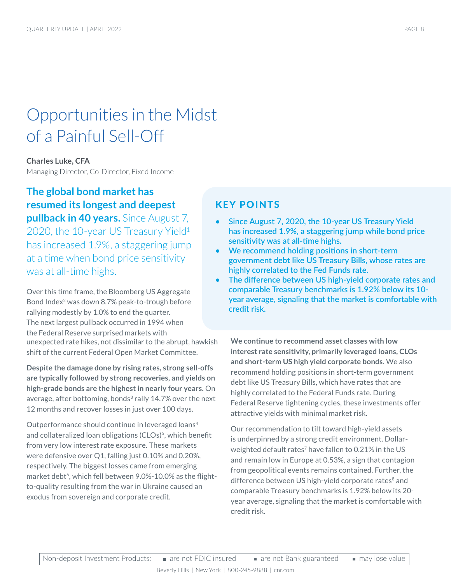# Opportunities in the Midst of a Painful Sell-Off

### **Charles Luke, CFA** Managing Director, Co-Director, Fixed Income

**The global bond market has resumed its longest and deepest pullback in 40 years.** Since August 7, 2020, the 10-year US Treasury Yield<sup>1</sup> has increased 1.9%, a staggering jump at a time when bond price sensitivity was at all-time highs.

Over this time frame, the Bloomberg US Aggregate Bond Index<sup>2</sup> was down 8.7% peak-to-trough before rallying modestly by 1.0% to end the quarter. The next largest pullback occurred in 1994 when the Federal Reserve surprised markets with unexpected rate hikes, not dissimilar to the abrupt, hawkish shift of the current Federal Open Market Committee.

**Despite the damage done by rising rates, strong sell-offs are typically followed by strong recoveries, and yields on high-grade bonds are the highest in nearly four years.** On average, after bottoming, bonds $3$  rally 14.7% over the next 12 months and recover losses in just over 100 days.

Outperformance should continue in leveraged loans4 and collateralized loan obligations (CLOs)<sup>5</sup>, which benefit from very low interest rate exposure. These markets were defensive over Q1, falling just 0.10% and 0.20%, respectively. The biggest losses came from emerging market debt<sup>6</sup>, which fell between 9.0%-10.0% as the flightto-quality resulting from the war in Ukraine caused an exodus from sovereign and corporate credit.

### KEY POINTS

- **• Since August 7, 2020, the 10-year US Treasury Yield has increased 1.9%, a staggering jump while bond price sensitivity was at all-time highs.**
- **• We recommend holding positions in short-term government debt like US Treasury Bills, whose rates are highly correlated to the Fed Funds rate.**
- **• The difference between US high-yield corporate rates and comparable Treasury benchmarks is 1.92% below its 10 year average, signaling that the market is comfortable with credit risk.**

**We continue to recommend asset classes with low interest rate sensitivity, primarily leveraged loans, CLOs and short-term US high yield corporate bonds.** We also recommend holding positions in short-term government debt like US Treasury Bills, which have rates that are highly correlated to the Federal Funds rate. During Federal Reserve tightening cycles, these investments offer attractive yields with minimal market risk.

Our recommendation to tilt toward high-yield assets is underpinned by a strong credit environment. Dollarweighted default rates<sup>7</sup> have fallen to 0.21% in the US and remain low in Europe at 0.53%, a sign that contagion from geopolitical events remains contained. Further, the difference between US high-yield corporate rates<sup>8</sup> and comparable Treasury benchmarks is 1.92% below its 20 year average, signaling that the market is comfortable with credit risk.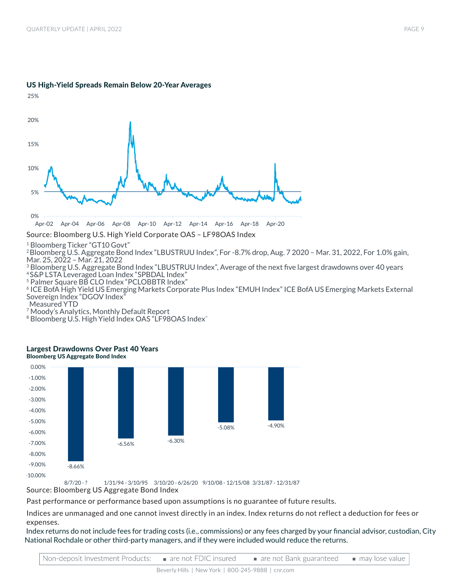

#### US High-Yield Spreads Remain Below 20-Year Averages

Source: Bloomberg U.S. High Yield Corporate OAS – LF98OAS Index

<sup>1</sup> Bloomberg Ticker "GT10 Govt"

<sup>2</sup>Bloomberg U.S. Aggregate Bond Index "LBUSTRUU Index", For -8.7% drop, Aug. 7 2020 – Mar. 31, 2022, For 1.0% gain, Mar. 25, 2022 – Mar. 21, 2022

<sup>3</sup> Bloomberg U.S. Aggregate Bond Index "LBUSTRUU Index", Average of the next five largest drawdowns over 40 years 4 S&P LSTA Leveraged Loan Index "SPBDAL Index"

5 Palmer Square BB CLO Index "PCLOBBTR Index"

<sup>6</sup> ICE BofA High Yield US Emerging Markets Corporate Plus Index "EMUH Index" ICE BofA US Emerging Markets External Sovereign Index "DGOV Index"

Measured YTD

<sup>7</sup> Moody's Analytics, Monthly Default Report

<sup>8</sup> Bloomberg U.S. High Yield Index OAS "LF98OAS Index"



#### Largest Drawdowns Over Past 40 Years Bloomberg US Aggregate Bond Index

8/7/20 - ? 1/31/94 - 3/10/95 3/10/20 - 6/26/20 9/10/08 - 12/15/08 3/31/87 - 12/31/87

Source: Bloomberg US Aggregate Bond Index

Past performance or performance based upon assumptions is no guarantee of future results.

Indices are unmanaged and one cannot invest directly in an index. Index returns do not reflect a deduction for fees or expenses.

 Index returns do not include fees for trading costs (i.e., commissions) or any fees charged by your financial advisor, custodian, City National Rochdale or other third-party managers, and if they were included would reduce the returns.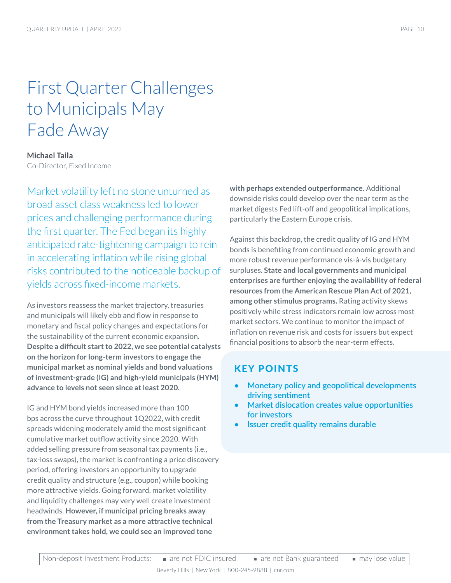# First Quarter Challenges to Municipals May Fade Away

**Michael Taila** Co-Director, Fixed Income

Market volatility left no stone unturned as broad asset class weakness led to lower prices and challenging performance during the first quarter. The Fed began its highly anticipated rate-tightening campaign to rein in accelerating inflation while rising global risks contributed to the noticeable backup of yields across fixed-income markets.

As investors reassess the market trajectory, treasuries and municipals will likely ebb and flow in response to monetary and fiscal policy changes and expectations for the sustainability of the current economic expansion. **Despite a difficult start to 2022, we see potential catalysts on the horizon for long-term investors to engage the municipal market as nominal yields and bond valuations of investment-grade (IG) and high-yield municipals (HYM) advance to levels not seen since at least 2020.** 

IG and HYM bond yields increased more than 100 bps across the curve throughout 1Q2022, with credit spreads widening moderately amid the most significant cumulative market outflow activity since 2020. With added selling pressure from seasonal tax payments (i.e., tax-loss swaps), the market is confronting a price discovery period, offering investors an opportunity to upgrade credit quality and structure (e.g., coupon) while booking more attractive yields. Going forward, market volatility and liquidity challenges may very well create investment headwinds. **However, if municipal pricing breaks away from the Treasury market as a more attractive technical environment takes hold, we could see an improved tone** 

**with perhaps extended outperformance.** Additional downside risks could develop over the near term as the market digests Fed lift-off and geopolitical implications, particularly the Eastern Europe crisis.

Against this backdrop, the credit quality of IG and HYM bonds is benefiting from continued economic growth and more robust revenue performance vis-à-vis budgetary surpluses. **State and local governments and municipal enterprises are further enjoying the availability of federal resources from the American Rescue Plan Act of 2021, among other stimulus programs.** Rating activity skews positively while stress indicators remain low across most market sectors. We continue to monitor the impact of inflation on revenue risk and costs for issuers but expect financial positions to absorb the near-term effects.

## KEY POINTS

- **• Monetary policy and geopolitical developments driving sentiment**
- **• Market dislocation creates value opportunities for investors**
- **• Issuer credit quality remains durable**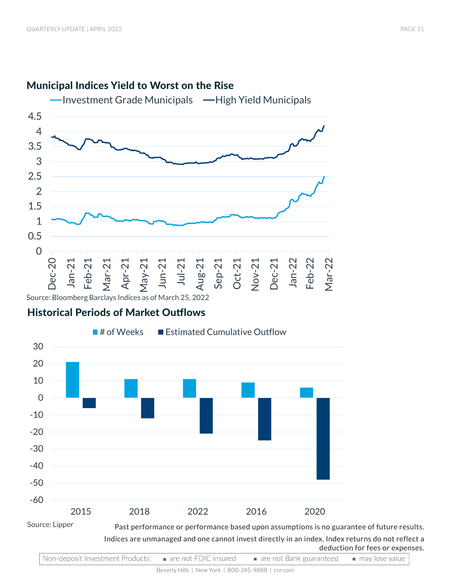

# Municipal Indices Yield to Worst on the Rise

## Historical Periods of Market Outflows



Indices are unmanaged and one cannot invest directly in an index. Index returns do not reflect a deduction for fees or expenses.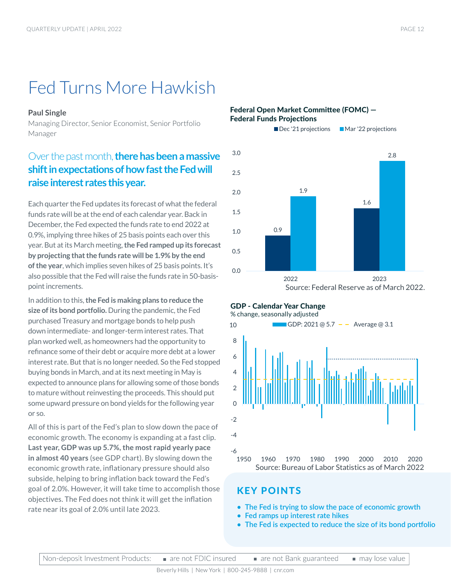# Fed Turns More Hawkish

#### **Paul Single**

Managing Director, Senior Economist, Senior Portfolio Manager

# Over the past month, **there has been a massive shift in expectations of how fast the Fed will raise interest rates this year.**

Each quarter the Fed updates its forecast of what the federal funds rate will be at the end of each calendar year. Back in December, the Fed expected the funds rate to end 2022 at 0.9%, implying three hikes of 25 basis points each over this year. But at its March meeting, **the Fed ramped up its forecast by projecting that the funds rate will be 1.9% by the end of the year**, which implies seven hikes of 25 basis points. It's also possible that the Fed will raise the funds rate in 50-basispoint increments.

In addition to this, **the Fed is making plans to reduce the size of its bond portfolio.** During the pandemic, the Fed purchased Treasury and mortgage bonds to help push down intermediate- and longer-term interest rates. That plan worked well, as homeowners had the opportunity to refinance some of their debt or acquire more debt at a lower interest rate. But that is no longer needed. So the Fed stopped buying bonds in March, and at its next meeting in May is expected to announce plans for allowing some of those bonds to mature without reinvesting the proceeds. This should put some upward pressure on bond yields for the following year or so.

All of this is part of the Fed's plan to slow down the pace of economic growth. The economy is expanding at a fast clip. **Last year, GDP was up 5.7%, the most rapid yearly pace in almost 40 years** (see GDP chart). By slowing down the economic growth rate, inflationary pressure should also subside, helping to bring inflation back toward the Fed's goal of 2.0%. However, it will take time to accomplish those objectives. The Fed does not think it will get the inflation rate near its goal of 2.0% until late 2023.

#### Federal Open Market Committee (FOMC) — Federal Funds Projections



#### GDP - Calendar Year Change





### KEY POINTS

- **• The Fed is trying to slow the pace of economic growth**
- **• Fed ramps up interest rate hikes**
- **• The Fed is expected to reduce the size of its bond portfolio**

may lose value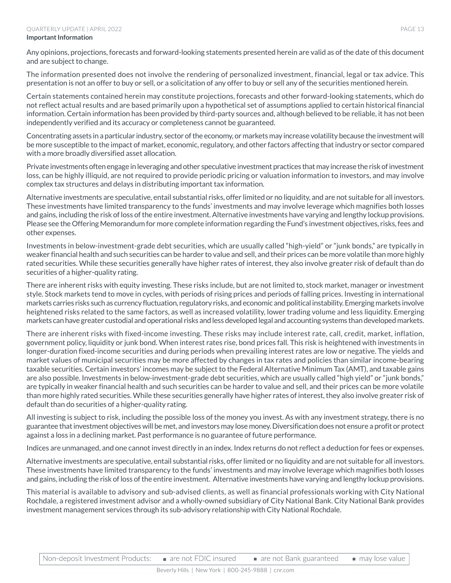Any opinions, projections, forecasts and forward-looking statements presented herein are valid as of the date of this document and are subject to change.

The information presented does not involve the rendering of personalized investment, financial, legal or tax advice. This presentation is not an offer to buy or sell, or a solicitation of any offer to buy or sell any of the securities mentioned herein.

Certain statements contained herein may constitute projections, forecasts and other forward-looking statements, which do not reflect actual results and are based primarily upon a hypothetical set of assumptions applied to certain historical financial information. Certain information has been provided by third-party sources and, although believed to be reliable, it has not been independently verified and its accuracy or completeness cannot be guaranteed.

Concentrating assets in a particular industry, sector of the economy, or markets may increase volatility because the investment will be more susceptible to the impact of market, economic, regulatory, and other factors affecting that industry or sector compared with a more broadly diversified asset allocation.

Private investments often engage in leveraging and other speculative investment practices that may increase the risk of investment loss, can be highly illiquid, are not required to provide periodic pricing or valuation information to investors, and may involve complex tax structures and delays in distributing important tax information.

Alternative investments are speculative, entail substantial risks, offer limited or no liquidity, and are not suitable for all investors. These investments have limited transparency to the funds' investments and may involve leverage which magnifies both losses and gains, including the risk of loss of the entire investment. Alternative investments have varying and lengthy lockup provisions. Please see the Offering Memorandum for more complete information regarding the Fund's investment objectives, risks, fees and other expenses.

Investments in below-investment-grade debt securities, which are usually called "high-yield" or "junk bonds," are typically in weaker financial health and such securities can be harder to value and sell, and their prices can be more volatile than more highly rated securities. While these securities generally have higher rates of interest, they also involve greater risk of default than do securities of a higher-quality rating.

There are inherent risks with equity investing. These risks include, but are not limited to, stock market, manager or investment style. Stock markets tend to move in cycles, with periods of rising prices and periods of falling prices. Investing in international markets carries risks such as currency fluctuation, regulatory risks, and economic and political instability. Emerging markets involve heightened risks related to the same factors, as well as increased volatility, lower trading volume and less liquidity. Emerging markets can have greater custodial and operational risks and less developed legal and accounting systems than developed markets.

There are inherent risks with fixed-income investing. These risks may include interest rate, call, credit, market, inflation, government policy, liquidity or junk bond. When interest rates rise, bond prices fall. This risk is heightened with investments in longer-duration fixed-income securities and during periods when prevailing interest rates are low or negative. The yields and market values of municipal securities may be more affected by changes in tax rates and policies than similar income-bearing taxable securities. Certain investors' incomes may be subject to the Federal Alternative Minimum Tax (AMT), and taxable gains are also possible. Investments in below-investment-grade debt securities, which are usually called "high yield" or "junk bonds," are typically in weaker financial health and such securities can be harder to value and sell, and their prices can be more volatile than more highly rated securities. While these securities generally have higher rates of interest, they also involve greater risk of default than do securities of a higher-quality rating.

All investing is subject to risk, including the possible loss of the money you invest. As with any investment strategy, there is no guarantee that investment objectives will be met, and investors may lose money. Diversification does not ensure a profit or protect against a loss in a declining market. Past performance is no guarantee of future performance.

Indices are unmanaged, and one cannot invest directly in an index. Index returns do not reflect a deduction for fees or expenses.

Alternative investments are speculative, entail substantial risks, offer limited or no liquidity and are not suitable for all investors. These investments have limited transparency to the funds' investments and may involve leverage which magnifies both losses and gains, including the risk of loss of the entire investment. Alternative investments have varying and lengthy lockup provisions.

This material is available to advisory and sub-advised clients, as well as financial professionals working with City National Rochdale, a registered investment advisor and a wholly-owned subsidiary of City National Bank. City National Bank provides investment management services through its sub-advisory relationship with City National Rochdale.